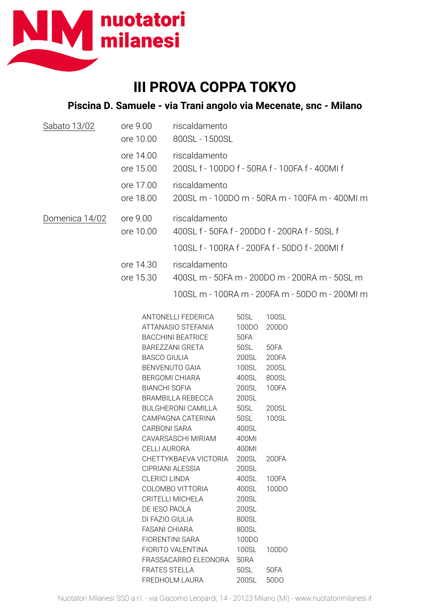

## **III PROVA COPPA TOKYO**

## **Piscina D. Samuele - via Trani angolo via Mecenate, snc - Milano**

| Sabato 13/02   | ore 9.00<br>ore 10.00                                                                                                                                                                                                                | riscaldamento<br>800SL - 1500SL                                                                                                                                                                                                                                                                                                                       |                                                                                                      |                                                                                       |
|----------------|--------------------------------------------------------------------------------------------------------------------------------------------------------------------------------------------------------------------------------------|-------------------------------------------------------------------------------------------------------------------------------------------------------------------------------------------------------------------------------------------------------------------------------------------------------------------------------------------------------|------------------------------------------------------------------------------------------------------|---------------------------------------------------------------------------------------|
|                | ore 14.00<br>ore 15.00                                                                                                                                                                                                               | riscaldamento<br>200SL f - 100DO f - 50RA f - 100FA f - 400MI f                                                                                                                                                                                                                                                                                       |                                                                                                      |                                                                                       |
|                | ore 17.00<br>ore 18.00                                                                                                                                                                                                               | riscaldamento<br>200SL m - 100DO m - 50RA m - 100FA m - 400Ml m                                                                                                                                                                                                                                                                                       |                                                                                                      |                                                                                       |
| Domenica 14/02 | ore 9.00<br>ore 10.00                                                                                                                                                                                                                | riscaldamento<br>400SL f - 50FA f - 200DO f - 200RA f - 50SL f                                                                                                                                                                                                                                                                                        |                                                                                                      |                                                                                       |
|                |                                                                                                                                                                                                                                      | 100SL f - 100RA f - 200FA f - 50DO f - 200MI f                                                                                                                                                                                                                                                                                                        |                                                                                                      |                                                                                       |
|                | ore 14.30                                                                                                                                                                                                                            | riscaldamento                                                                                                                                                                                                                                                                                                                                         |                                                                                                      |                                                                                       |
|                | ore 15.30                                                                                                                                                                                                                            | 400SL m - 50FA m - 200DO m - 200RA m - 50SL m                                                                                                                                                                                                                                                                                                         |                                                                                                      |                                                                                       |
|                |                                                                                                                                                                                                                                      | 100SL m - 100RA m - 200FA m - 50DO m - 200MI m                                                                                                                                                                                                                                                                                                        |                                                                                                      |                                                                                       |
|                |                                                                                                                                                                                                                                      | ANTONELLI FEDERICA<br>ATTANASIO STEFANIA<br><b>BACCHINI BEATRICE</b><br>BAREZZANI GRETA<br><b>BASCO GIULIA</b><br>BENVENUTO GAIA<br><b>BERGOMI CHIARA</b><br><b>BIANCHI SOFIA</b><br>BRAMBILLA REBECCA<br><b>BULGHERONI CAMILLA</b><br>CAMPAGNA CATERINA<br><b>CARBONI SARA</b><br>CAVARSASCHI MIRIAM<br><b>CELLI AURORA</b><br>CHETTYKBAEVA VICTORIA |                                                                                                      | 100SL<br>200DO<br>50FA<br>200FA<br>200SL<br>800SL<br>100FA<br>200SL<br>100SL<br>200FA |
|                | CIPRIANI ALESSIA<br><b>CLERICI LINDA</b><br>COLOMBO VITTORIA<br>CRITELLI MICHELA<br>DE IESO PAOLA<br>DI FAZIO GIULIA<br><b>FASANI CHIARA</b><br><b>FIORENTINI SARA</b><br>FIORITO VALENTINA<br>FRASSACARRO ELEONORA<br>FRATES STELLA |                                                                                                                                                                                                                                                                                                                                                       | 200SL<br>400SL<br>400SL<br>200SL<br>200SL<br>800SL<br>800SL<br>100DO<br>100SL<br><b>50RA</b><br>50SL | 100FA<br>100DO<br>100DO<br>50FA                                                       |

FREDHOLM LAURA 200SL 50DO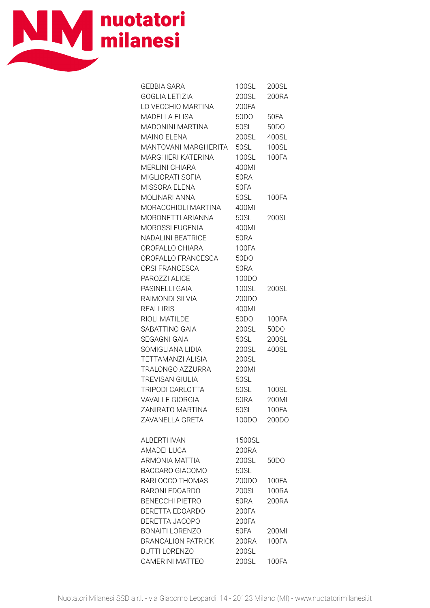

| <b>GEBBIA SARA</b>              | 100SL 200SL       |                   |
|---------------------------------|-------------------|-------------------|
| GOGLIA LETIZIA                  | 200SL 200RA       |                   |
| LO VECCHIO MARTINA              | 200FA             |                   |
| MADELLA ELISA                   | 50DO 50FA         |                   |
| MADONINI MARTINA                | 50SL              | 50 <sub>D</sub> O |
| <b>MAINO ELENA</b>              | 200SL 400SL       |                   |
| MANTOVANI MARGHERITA 50SL 100SL |                   |                   |
| MARGHIERI KATERINA              | 100SL 100FA       |                   |
| <b>MERLINI CHIARA</b>           | 400MI             |                   |
| MIGLIORATI SOFIA                | <b>50RA</b>       |                   |
| MISSORA ELENA                   | 50FA              |                   |
| MOLINARI ANNA                   | 50SL 100FA        |                   |
| MORACCHIOLI MARTINA 400MI       |                   |                   |
| MORONETTI ARIANNA               | 50SL              | 200SL             |
| MOROSSI EUGENIA                 | 400MI             |                   |
| NADALINI BEATRICE               | <b>50RA</b>       |                   |
| OROPALLO CHIARA                 | 100FA             |                   |
| OROPALLO FRANCESCA              | 50 <sub>D</sub> O |                   |
| ORSI FRANCESCA                  | 50RA              |                   |
| PAROZZI ALICE                   | 100DO             |                   |
| PASINELLI GAIA                  | <b>100SL</b>      | 200SL             |
| RAIMONDI SILVIA                 | 200DO             |                   |
| <b>REALI IRIS</b>               | 400MI             |                   |
| RIOLI MATILDE                   | 50DO 100FA        |                   |
| SABATTINO GAIA                  | 200SL 50DO        |                   |
| <b>SEGAGNI GAIA</b>             | 50SL              | 200SL             |
| SOMIGLIANA LIDIA                |                   |                   |
| TETTAMANZI ALISIA               | 200SL             |                   |
| TRALONGO AZZURRA                | 200MI             |                   |
| TREVISAN GIULIA                 | 50SL              |                   |
| TRIPODI CARLOTTA                | 50SL  100SL       |                   |
| <b>VAVALLE GIORGIA</b>          | 50RA              | 200MI             |
| ZANIRATO MARTINA                | 50SL              | 100FA             |
| ZAVANELLA GRETA                 | 100DO             | 200DO             |
| <b>ALBERTI IVAN</b>             | 1500SL            |                   |
| <b>AMADEI LUCA</b>              | 200RA             |                   |
| <b>ARMONIA MATTIA</b>           | 200SL             | 50 <sub>D</sub> O |
| BACCARO GIACOMO                 | 50SL              |                   |
| <b>BARLOCCO THOMAS</b>          | 200DO             | 100FA             |
| <b>BARONI EDOARDO</b>           | 200SL             | <b>100RA</b>      |
| <b>BENECCHI PIETRO</b>          | 50RA              | 200RA             |
| BERETTA EDOARDO                 | 200FA             |                   |
| <b>BERETTA JACOPO</b>           | 200FA             |                   |
| <b>BONAITI LORENZO</b>          | <b>50FA</b>       | 200MI             |
| <b>BRANCALION PATRICK</b>       | 200RA             | <b>100FA</b>      |
| <b>BUTTI LORENZO</b>            | 200SL             |                   |
| CAMERINI MATTEO                 | 200SL             | 100FA             |